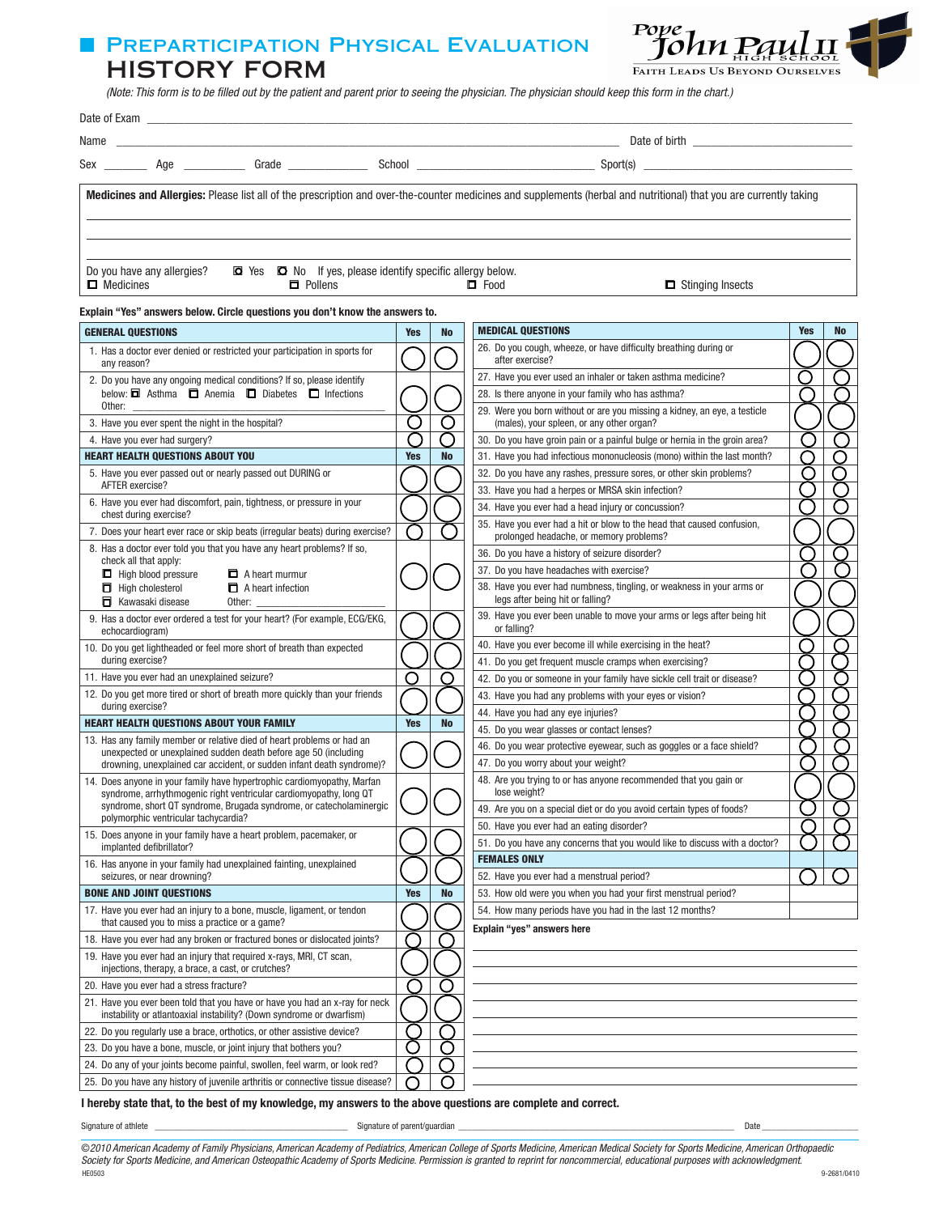## **PREPARTICIPATION PHYSICAL EVALUATION** HISTORY FORM



(Note: This form is to be filled out by the patient and parent prior to seeing the physician. The physician should keep this form in the chart.)

| Name<br><u> 1989 - Johann Stein, marwolaethau a bhann an t-Amhainn an t-Amhainn an t-Amhainn an t-Amhainn an t-Amhainn an</u>                                                      |            |           |                                                                                                                         |            |           |  |  |  |
|------------------------------------------------------------------------------------------------------------------------------------------------------------------------------------|------------|-----------|-------------------------------------------------------------------------------------------------------------------------|------------|-----------|--|--|--|
|                                                                                                                                                                                    |            |           |                                                                                                                         |            |           |  |  |  |
|                                                                                                                                                                                    |            |           |                                                                                                                         |            |           |  |  |  |
| Medicines and Allergies: Please list all of the prescription and over-the-counter medicines and supplements (herbal and nutritional) that you are currently taking                 |            |           |                                                                                                                         |            |           |  |  |  |
|                                                                                                                                                                                    |            |           |                                                                                                                         |            |           |  |  |  |
|                                                                                                                                                                                    |            |           |                                                                                                                         |            |           |  |  |  |
| Do you have any allergies?<br>$\Box$ Yes $\Box$ No If yes, please identify specific allergy below.<br>$\Box$ Medicines<br>$\Box$ Pollens<br>$\Box$ Food<br>$\Box$ Stinging Insects |            |           |                                                                                                                         |            |           |  |  |  |
| Explain "Yes" answers below. Circle questions you don't know the answers to.                                                                                                       |            |           |                                                                                                                         |            |           |  |  |  |
| <b>GENERAL QUESTIONS</b>                                                                                                                                                           | <b>Yes</b> | <b>No</b> | <b>MEDICAL QUESTIONS</b>                                                                                                | <b>Yes</b> | <b>No</b> |  |  |  |
| 1. Has a doctor ever denied or restricted your participation in sports for                                                                                                         |            |           | 26. Do you cough, wheeze, or have difficulty breathing during or<br>after exercise?                                     |            |           |  |  |  |
| any reason?                                                                                                                                                                        |            |           | 27. Have you ever used an inhaler or taken asthma medicine?                                                             |            |           |  |  |  |
| 2. Do you have any ongoing medical conditions? If so, please identify<br>below: $\Box$ Asthma $\Box$ Anemia $\Box$ Diabetes $\Box$ Infections                                      |            |           | 28. Is there anyone in your family who has asthma?                                                                      |            |           |  |  |  |
| Other:<br>3. Have you ever spent the night in the hospital?                                                                                                                        | $\cup$     |           | 29. Were you born without or are you missing a kidney, an eye, a testicle<br>(males), your spleen, or any other organ?  |            |           |  |  |  |
| 4. Have you ever had surgery?                                                                                                                                                      | $\Box$     |           | 30. Do you have groin pain or a painful bulge or hernia in the groin area?                                              |            |           |  |  |  |
| <b>HEART HEALTH QUESTIONS ABOUT YOU</b>                                                                                                                                            | <b>Yes</b> | <b>No</b> | 31. Have you had infectious mononucleosis (mono) within the last month?                                                 |            |           |  |  |  |
| 5. Have you ever passed out or nearly passed out DURING or                                                                                                                         |            |           | 32. Do you have any rashes, pressure sores, or other skin problems?                                                     | ( )        |           |  |  |  |
| AFTER exercise?                                                                                                                                                                    |            |           | 33. Have you had a herpes or MRSA skin infection?                                                                       |            |           |  |  |  |
| 6. Have you ever had discomfort, pain, tightness, or pressure in your<br>chest during exercise?                                                                                    |            |           | 34. Have you ever had a head injury or concussion?                                                                      |            |           |  |  |  |
| 7. Does your heart ever race or skip beats (irregular beats) during exercise?                                                                                                      |            |           | 35. Have you ever had a hit or blow to the head that caused confusion,<br>prolonged headache, or memory problems?       |            |           |  |  |  |
| 8. Has a doctor ever told you that you have any heart problems? If so,<br>check all that apply:                                                                                    |            |           | 36. Do you have a history of seizure disorder?                                                                          |            |           |  |  |  |
| $\Box$ High blood pressure<br>A heart murmur                                                                                                                                       |            |           | 37. Do you have headaches with exercise?                                                                                |            |           |  |  |  |
| $\Box$ High cholesterol<br>A heart infection<br>Kawasaki disease<br>Other: $\_\_$                                                                                                  |            |           | 38. Have you ever had numbness, tingling, or weakness in your arms or<br>legs after being hit or falling?               |            |           |  |  |  |
| 9. Has a doctor ever ordered a test for your heart? (For example, ECG/EKG,<br>echocardiogram)                                                                                      |            |           | 39. Have you ever been unable to move your arms or legs after being hit<br>or falling?                                  |            |           |  |  |  |
| 10. Do you get lightheaded or feel more short of breath than expected                                                                                                              |            |           | 40. Have you ever become ill while exercising in the heat?                                                              |            |           |  |  |  |
| during exercise?                                                                                                                                                                   |            |           | 41. Do you get frequent muscle cramps when exercising?                                                                  |            |           |  |  |  |
| 11. Have you ever had an unexplained seizure?                                                                                                                                      | O          |           | 42. Do you or someone in your family have sickle cell trait or disease?                                                 |            |           |  |  |  |
| 12. Do you get more tired or short of breath more quickly than your friends<br>during exercise?                                                                                    |            |           | 43. Have you had any problems with your eyes or vision?                                                                 |            |           |  |  |  |
| <b>HEART HEALTH QUESTIONS ABOUT YOUR FAMILY</b>                                                                                                                                    | <b>Yes</b> | <b>No</b> | 44. Have you had any eye injuries?                                                                                      |            |           |  |  |  |
| 13. Has any family member or relative died of heart problems or had an                                                                                                             |            |           | 45. Do you wear glasses or contact lenses?<br>46. Do you wear protective eyewear, such as goggles or a face shield?     |            |           |  |  |  |
| unexpected or unexplained sudden death before age 50 (including<br>drowning, unexplained car accident, or sudden infant death syndrome)?                                           |            |           | 47. Do you worry about your weight?                                                                                     |            |           |  |  |  |
| 14. Does anyone in your family have hypertrophic cardiomyopathy, Marfan                                                                                                            |            |           | 48. Are you trying to or has anyone recommended that you gain or                                                        |            |           |  |  |  |
| syndrome, arrhythmogenic right ventricular cardiomyopathy, long QT                                                                                                                 |            |           | lose weight?                                                                                                            |            |           |  |  |  |
| syndrome, short QT syndrome, Brugada syndrome, or catecholaminergic<br>polymorphic ventricular tachycardia?                                                                        |            |           | 49. Are you on a special diet or do you avoid certain types of foods?                                                   |            |           |  |  |  |
| 15. Does anyone in your family have a heart problem, pacemaker, or<br>implanted defibrillator?                                                                                     |            |           | 50. Have you ever had an eating disorder?<br>51. Do you have any concerns that you would like to discuss with a doctor? |            |           |  |  |  |
| 16. Has anyone in your family had unexplained fainting, unexplained                                                                                                                |            |           | <b>FEMALES ONLY</b>                                                                                                     |            |           |  |  |  |
| seizures, or near drowning?                                                                                                                                                        |            |           | 52. Have you ever had a menstrual period?                                                                               |            |           |  |  |  |
| <b>BONE AND JOINT QUESTIONS</b>                                                                                                                                                    | <b>Yes</b> | <b>No</b> | 53. How old were you when you had your first menstrual period?                                                          |            |           |  |  |  |
| 17. Have you ever had an injury to a bone, muscle, ligament, or tendon<br>that caused you to miss a practice or a game?                                                            |            |           | 54. How many periods have you had in the last 12 months?<br>Explain "yes" answers here                                  |            |           |  |  |  |
| 18. Have you ever had any broken or fractured bones or dislocated joints?                                                                                                          |            |           |                                                                                                                         |            |           |  |  |  |
| 19. Have you ever had an injury that required x-rays, MRI, CT scan,<br>injections, therapy, a brace, a cast, or crutches?                                                          |            |           |                                                                                                                         |            |           |  |  |  |
| 20. Have you ever had a stress fracture?                                                                                                                                           |            |           |                                                                                                                         |            |           |  |  |  |
| 21. Have you ever been told that you have or have you had an x-ray for neck<br>instability or atlantoaxial instability? (Down syndrome or dwarfism)                                |            |           |                                                                                                                         |            |           |  |  |  |
| 22. Do you regularly use a brace, orthotics, or other assistive device?                                                                                                            |            |           |                                                                                                                         |            |           |  |  |  |
| 23. Do you have a bone, muscle, or joint injury that bothers you?                                                                                                                  |            |           |                                                                                                                         |            |           |  |  |  |
| 24. Do any of your joints become painful, swollen, feel warm, or look red?                                                                                                         |            |           |                                                                                                                         |            |           |  |  |  |

I hereby state that, to the best of my knowledge, my answers to the above questions are complete and correct.

25. Do you have any history of juvenile arthritis or connective tissue disease?

Signature of athlete examples are the controller of parent/guardian and the controller of parent/guardian controller and the controller of parent/guardian controller and the controller of parent/guardian controller and the

 $\bigcirc$ 

©2010 American Academy of Family Physicians, American Academy of Pediatrics, American College of Sports Medicine, American Medical Society for Sports Medicine, American Orthopaedic Society for Sports Medicine, and American Osteopathic Academy of Sports Medicine. Permission is granted to reprint for noncommercial, educational purposes with acknowledgment.<br>HEOSO3 HE0503 9-2681/0410

 $\circ$